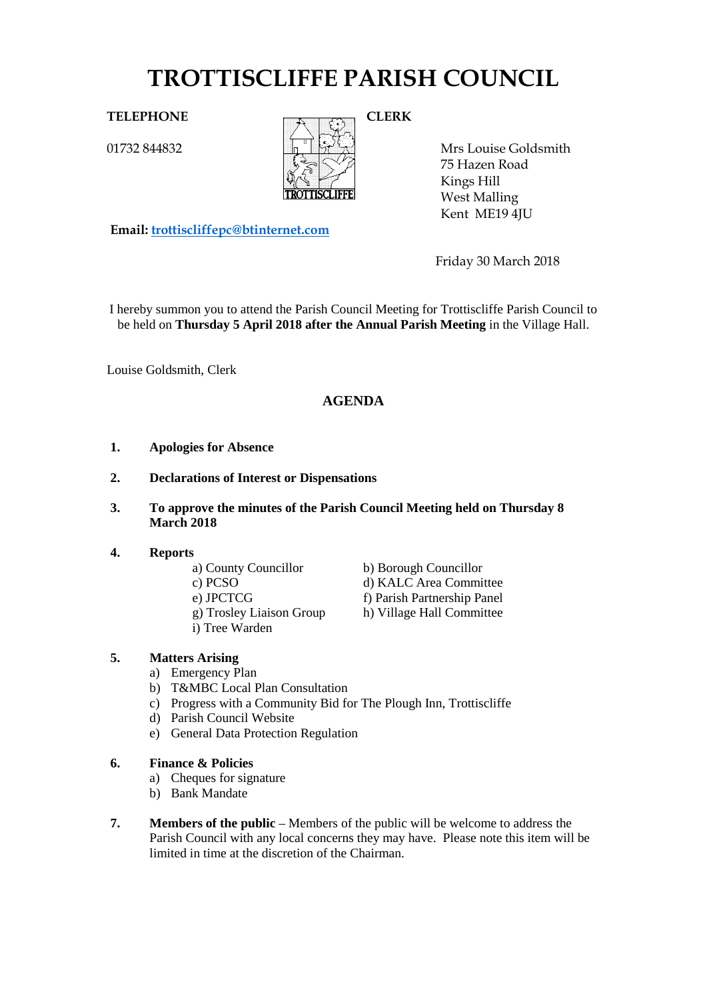# **TROTTISCLIFFE PARISH COUNCIL**

01732 844832



Mrs Louise Goldsmith 75 Hazen Road Kings Hill West Malling Kent ME19 4JU

**Email: [trottiscliffepc@btinternet.com](mailto:trottiscliffepc@btinternet.com)**

Friday 30 March 2018

I hereby summon you to attend the Parish Council Meeting for Trottiscliffe Parish Council to be held on **Thursday 5 April 2018 after the Annual Parish Meeting** in the Village Hall.

Louise Goldsmith, Clerk

# **AGENDA**

- **1. Apologies for Absence**
- **2. Declarations of Interest or Dispensations**
- **3. To approve the minutes of the Parish Council Meeting held on Thursday 8 March 2018**

#### **4. Reports**

- 
- 
- 
- g) Trosley Liaison Group h) Village Hall Committee
- i) Tree Warden
- a) County Councillor b) Borough Councillor c) PCSO d) KALC Area Committee e) JPCTCG f) Parish Partnership Panel
	-

#### **5. Matters Arising**

- a) Emergency Plan
- b) T&MBC Local Plan Consultation
- c) Progress with a Community Bid for The Plough Inn, Trottiscliffe
	- d) Parish Council Website
	- e) General Data Protection Regulation
- **6. Finance & Policies**
	- a) Cheques for signature
	- b) Bank Mandate
- **7. Members of the public** Members of the public will be welcome to address the Parish Council with any local concerns they may have. Please note this item will be limited in time at the discretion of the Chairman.